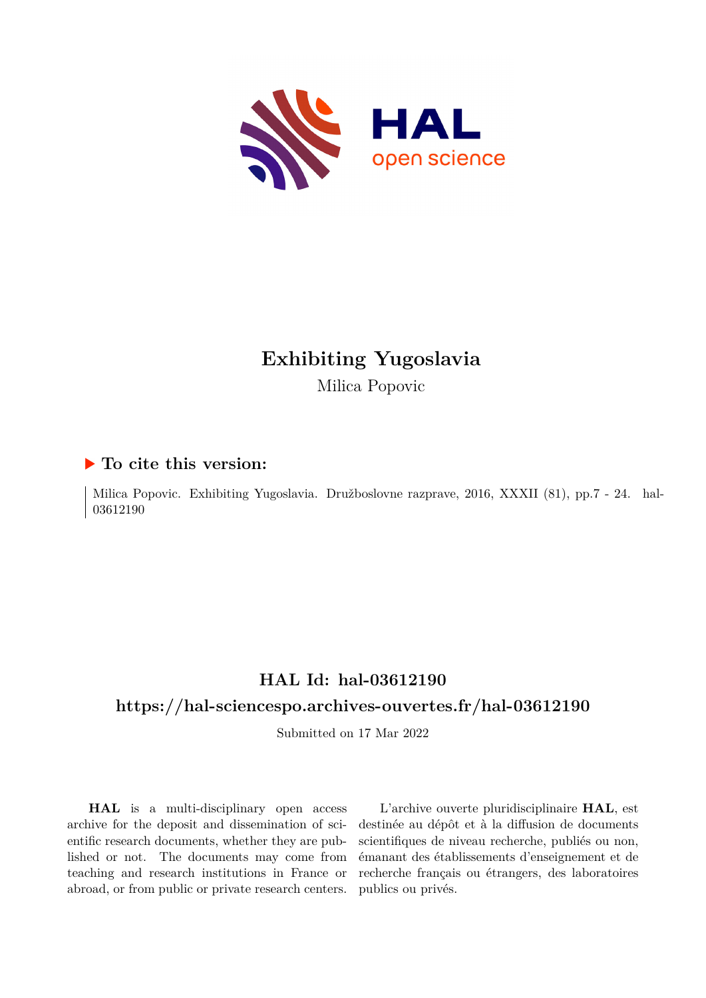

# **Exhibiting Yugoslavia**

Milica Popovic

## **To cite this version:**

Milica Popovic. Exhibiting Yugoslavia. Družboslovne razprave, 2016, XXXII (81), pp.7 - 24. hal-03612190

# **HAL Id: hal-03612190**

## **<https://hal-sciencespo.archives-ouvertes.fr/hal-03612190>**

Submitted on 17 Mar 2022

**HAL** is a multi-disciplinary open access archive for the deposit and dissemination of scientific research documents, whether they are published or not. The documents may come from teaching and research institutions in France or abroad, or from public or private research centers.

L'archive ouverte pluridisciplinaire **HAL**, est destinée au dépôt et à la diffusion de documents scientifiques de niveau recherche, publiés ou non, émanant des établissements d'enseignement et de recherche français ou étrangers, des laboratoires publics ou privés.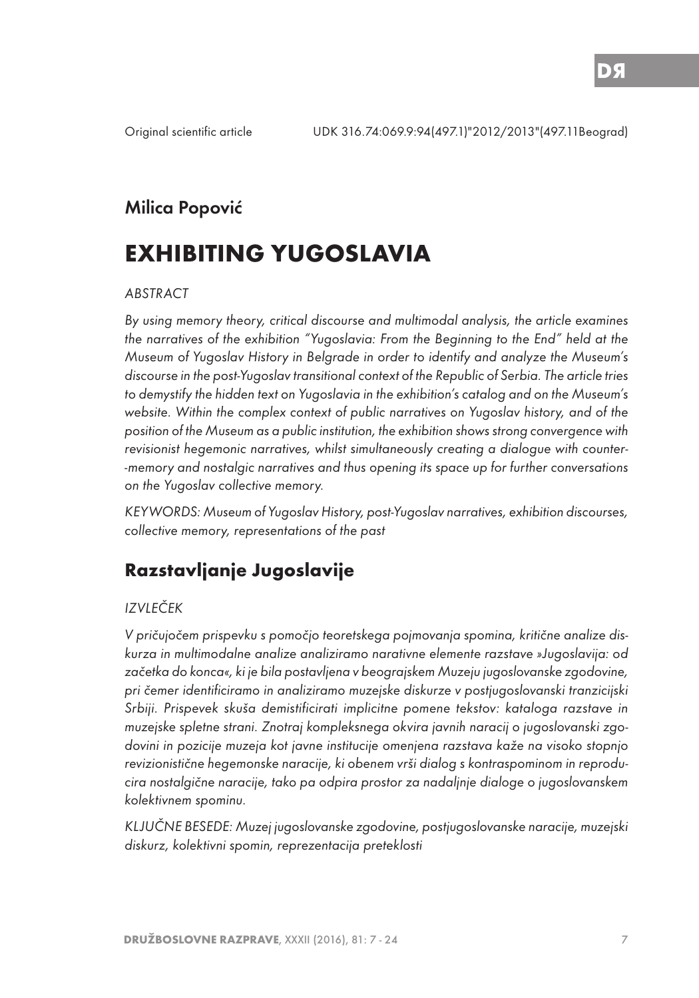## Milica Popović

# **EXHIBITING YUGOSLAVIA**

#### ABSTRACT

By using memory theory, critical discourse and multimodal analysis, the article examines the narratives of the exhibition "Yugoslavia: From the Beginning to the End" held at the Museum of Yugoslav History in Belgrade in order to identify and analyze the Museum's discourse in the post-Yugoslav transitional context of the Republic of Serbia. The article tries to demystify the hidden text on Yugoslavia in the exhibition's catalog and on the Museum's website. Within the complex context of public narratives on Yugoslav history, and of the position of the Museum as a public institution, the exhibition shows strong convergence with revisionist hegemonic narratives, whilst simultaneously creating a dialogue with counter- -memory and nostalgic narratives and thus opening its space up for further conversations on the Yugoslav collective memory.

KEYWORDS: Museum of Yugoslav History, post-Yugoslav narratives, exhibition discourses, collective memory, representations of the past

# **Razstavljanje Jugoslavije**

#### IZVLEČEK

V pričujočem prispevku s pomočjo teoretskega pojmovanja spomina, kritične analize diskurza in multimodalne analize analiziramo narativne elemente razstave »Jugoslavija: od začetka do konca«, ki je bila postavljena v beograjskem Muzeju jugoslovanske zgodovine, pri čemer identificiramo in analiziramo muzejske diskurze v postjugoslovanski tranzicijski Srbiji. Prispevek skuša demistificirati implicitne pomene tekstov: kataloga razstave in muzejske spletne strani. Znotraj kompleksnega okvira javnih naracij o jugoslovanski zgodovini in pozicije muzeja kot javne institucije omenjena razstava kaže na visoko stopnjo revizionistične hegemonske naracije, ki obenem vrši dialog s kontraspominom in reproducira nostalgične naracije, tako pa odpira prostor za nadaljnje dialoge o jugoslovanskem kolektivnem spominu.

KLJUČNE BESEDE: Muzej jugoslovanske zgodovine, postjugoslovanske naracije, muzejski diskurz, kolektivni spomin, reprezentacija preteklosti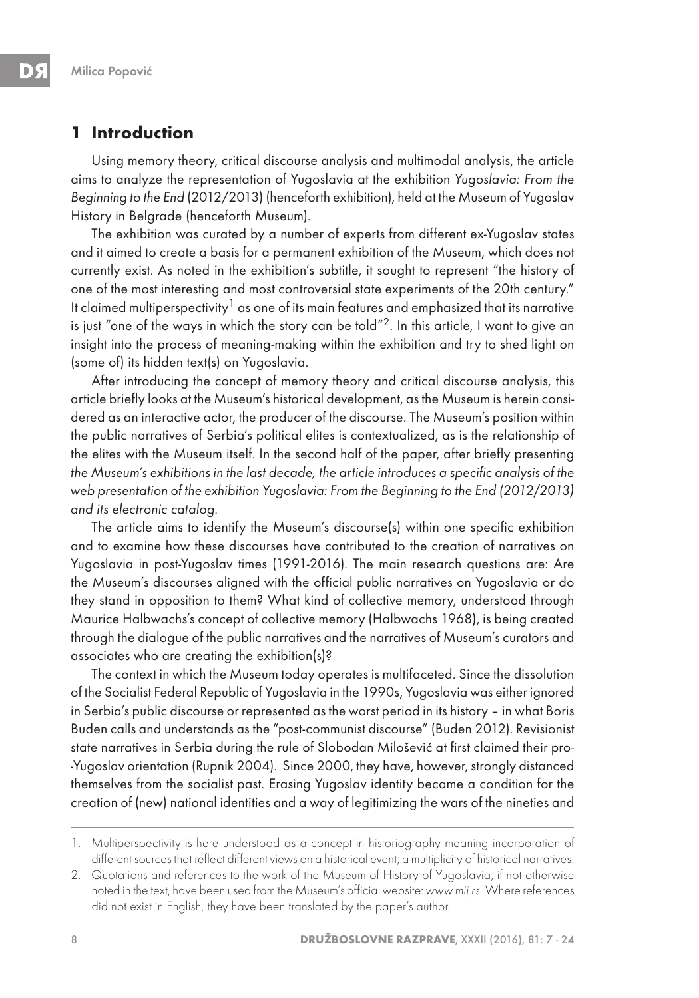### **1 Introduction**

Using memory theory, critical discourse analysis and multimodal analysis, the article aims to analyze the representation of Yugoslavia at the exhibition Yugoslavia: From the Beginning to the End (2012/2013) (henceforth exhibition), held at the Museum of Yugoslav History in Belgrade (henceforth Museum).

The exhibition was curated by a number of experts from different ex-Yugoslav states and it aimed to create a basis for a permanent exhibition of the Museum, which does not currently exist. As noted in the exhibition's subtitle, it sought to represent "the history of one of the most interesting and most controversial state experiments of the 20th century." It claimed multiperspectivity<sup>1</sup> as one of its main features and emphasized that its narrative is just "one of the ways in which the story can be told"<sup>2</sup>. In this article, I want to give an insight into the process of meaning-making within the exhibition and try to shed light on (some of) its hidden text(s) on Yugoslavia.

After introducing the concept of memory theory and critical discourse analysis, this article briefly looks at the Museum's historical development, as the Museum is herein considered as an interactive actor, the producer of the discourse. The Museum's position within the public narratives of Serbia's political elites is contextualized, as is the relationship of the elites with the Museum itself. In the second half of the paper, after briefly presenting the Museum's exhibitions in the last decade, the article introduces a specific analysis of the web presentation of the exhibition Yugoslavia: From the Beginning to the End (2012/2013) and its electronic catalog.

The article aims to identify the Museum's discourse(s) within one specific exhibition and to examine how these discourses have contributed to the creation of narratives on Yugoslavia in post-Yugoslav times (1991-2016). The main research questions are: Are the Museum's discourses aligned with the official public narratives on Yugoslavia or do they stand in opposition to them? What kind of collective memory, understood through Maurice Halbwachs's concept of collective memory (Halbwachs 1968), is being created through the dialogue of the public narratives and the narratives of Museum's curators and associates who are creating the exhibition(s)?

The context in which the Museum today operates is multifaceted. Since the dissolution of the Socialist Federal Republic of Yugoslavia in the 1990s, Yugoslavia was either ignored in Serbia's public discourse or represented as the worst period in its history – in what Boris Buden calls and understands as the "post-communist discourse" (Buden 2012). Revisionist state narratives in Serbia during the rule of Slobodan Milošević at first claimed their pro- -Yugoslav orientation (Rupnik 2004). Since 2000, they have, however, strongly distanced themselves from the socialist past. Erasing Yugoslav identity became a condition for the creation of (new) national identities and a way of legitimizing the wars of the nineties and

<sup>1.</sup> Multiperspectivity is here understood as a concept in historiography meaning incorporation of different sources that reflect different views on a historical event; a multiplicity of historical narratives.

<sup>2.</sup> Quotations and references to the work of the Museum of History of Yugoslavia, if not otherwise noted in the text, have been used from the Museum's official website: www.mij.rs. Where references did not exist in English, they have been translated by the paper's author.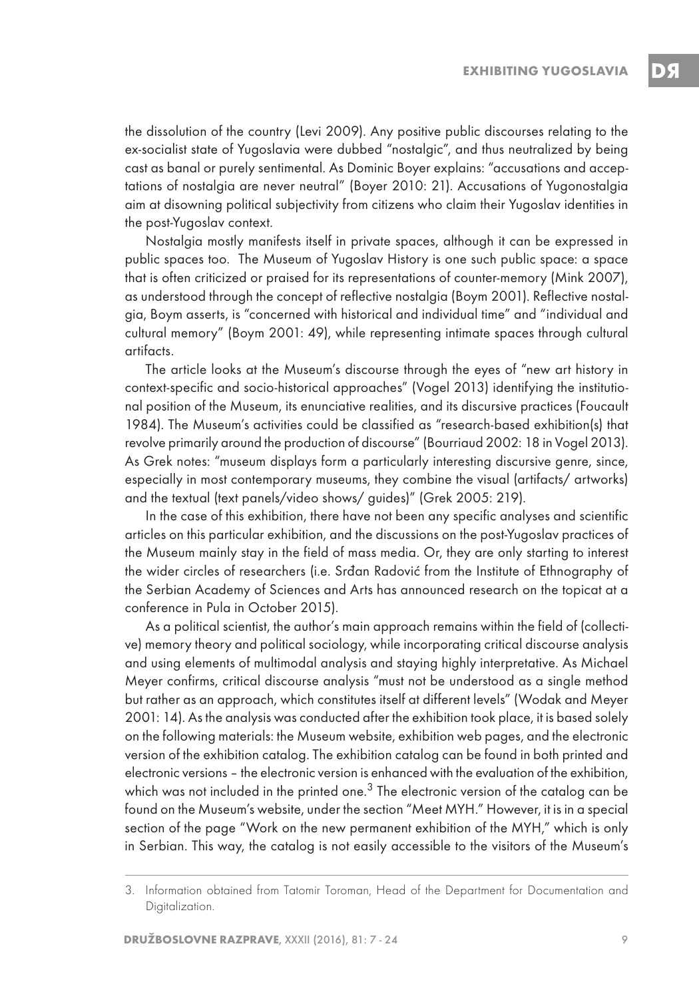the dissolution of the country (Levi 2009). Any positive public discourses relating to the ex-socialist state of Yugoslavia were dubbed "nostalgic", and thus neutralized by being cast as banal or purely sentimental. As Dominic Boyer explains: "accusations and acceptations of nostalgia are never neutral" (Boyer 2010: 21). Accusations of Yugonostalgia aim at disowning political subjectivity from citizens who claim their Yugoslav identities in the post-Yugoslav context.

Nostalgia mostly manifests itself in private spaces, although it can be expressed in public spaces too. The Museum of Yugoslav History is one such public space: a space that is often criticized or praised for its representations of counter-memory (Mink 2007), as understood through the concept of reflective nostalgia (Boym 2001). Reflective nostalgia, Boym asserts, is "concerned with historical and individual time" and "individual and cultural memory" (Boym 2001: 49), while representing intimate spaces through cultural artifacts.

The article looks at the Museum's discourse through the eyes of "new art history in context-specific and socio-historical approaches" (Vogel 2013) identifying the institutional position of the Museum, its enunciative realities, and its discursive practices (Foucault 1984). The Museum's activities could be classified as "research-based exhibition(s) that revolve primarily around the production of discourse" (Bourriaud 2002: 18 in Vogel 2013). As Grek notes: "museum displays form a particularly interesting discursive genre, since, especially in most contemporary museums, they combine the visual (artifacts/ artworks) and the textual (text panels/video shows/ guides)" (Grek 2005: 219).

In the case of this exhibition, there have not been any specific analyses and scientific articles on this particular exhibition, and the discussions on the post-Yugoslav practices of the Museum mainly stay in the field of mass media. Or, they are only starting to interest the wider circles of researchers (i.e. Srđan Radović from the Institute of Ethnography of the Serbian Academy of Sciences and Arts has announced research on the topicat at a conference in Pula in October 2015).

As a political scientist, the author's main approach remains within the field of (collective) memory theory and political sociology, while incorporating critical discourse analysis and using elements of multimodal analysis and staying highly interpretative. As Michael Meyer confirms, critical discourse analysis "must not be understood as a single method but rather as an approach, which constitutes itself at different levels" (Wodak and Meyer 2001: 14). As the analysis was conducted after the exhibition took place, it is based solely on the following materials: the Museum website, exhibition web pages, and the electronic version of the exhibition catalog. The exhibition catalog can be found in both printed and electronic versions – the electronic version is enhanced with the evaluation of the exhibition, which was not included in the printed one. $3$  The electronic version of the catalog can be found on the Museum's website, under the section "Meet MYH." However, it is in a special section of the page "Work on the new permanent exhibition of the MYH," which is only in Serbian. This way, the catalog is not easily accessible to the visitors of the Museum's

<sup>3.</sup> Information obtained from Tatomir Toroman, Head of the Department for Documentation and Digitalization.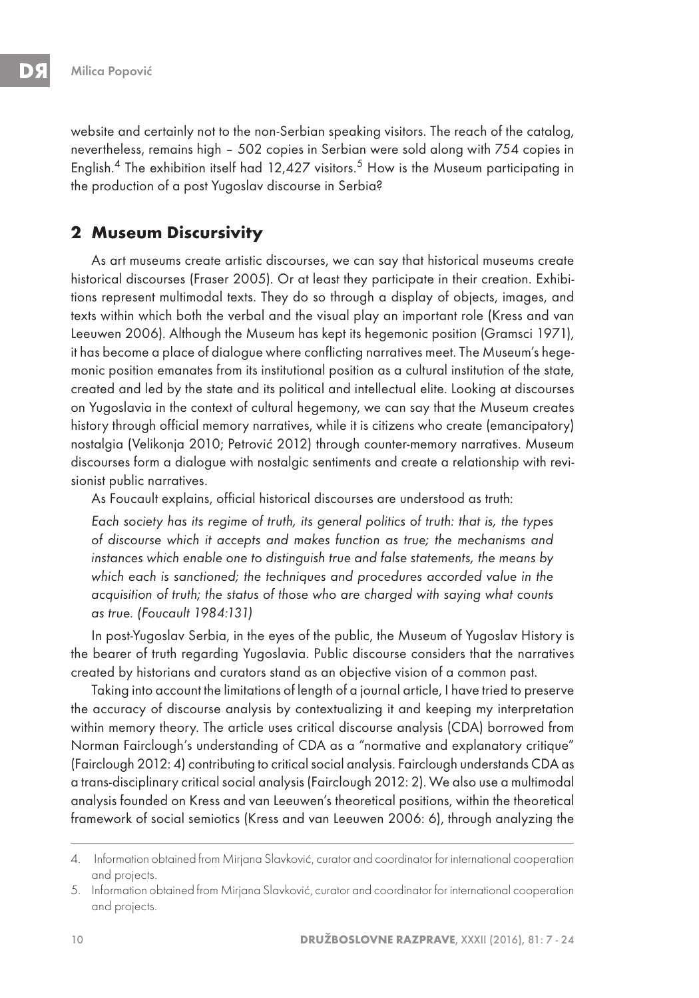website and certainly not to the non-Serbian speaking visitors. The reach of the catalog, nevertheless, remains high – 502 copies in Serbian were sold along with 754 copies in English.<sup>4</sup> The exhibition itself had 12,427 visitors.<sup>5</sup> How is the Museum participating in the production of a post Yugoslav discourse in Serbia?

### **2 Museum Discursivity**

As art museums create artistic discourses, we can say that historical museums create historical discourses (Fraser 2005). Or at least they participate in their creation. Exhibitions represent multimodal texts. They do so through a display of objects, images, and texts within which both the verbal and the visual play an important role (Kress and van Leeuwen 2006). Although the Museum has kept its hegemonic position (Gramsci 1971), it has become a place of dialogue where conflicting narratives meet. The Museum's hegemonic position emanates from its institutional position as a cultural institution of the state, created and led by the state and its political and intellectual elite. Looking at discourses on Yugoslavia in the context of cultural hegemony, we can say that the Museum creates history through official memory narratives, while it is citizens who create (emancipatory) nostalgia (Velikonja 2010; Petrović 2012) through counter-memory narratives. Museum discourses form a dialogue with nostalgic sentiments and create a relationship with revisionist public narratives.

As Foucault explains, official historical discourses are understood as truth:

Each society has its regime of truth, its general politics of truth: that is, the types of discourse which it accepts and makes function as true; the mechanisms and instances which enable one to distinguish true and false statements, the means by which each is sanctioned; the techniques and procedures accorded value in the acquisition of truth; the status of those who are charged with saying what counts as true. (Foucault 1984:131)

In post-Yugoslav Serbia, in the eyes of the public, the Museum of Yugoslav History is the bearer of truth regarding Yugoslavia. Public discourse considers that the narratives created by historians and curators stand as an objective vision of a common past.

Taking into account the limitations of length of a journal article, I have tried to preserve the accuracy of discourse analysis by contextualizing it and keeping my interpretation within memory theory. The article uses critical discourse analysis (CDA) borrowed from Norman Fairclough's understanding of CDA as a "normative and explanatory critique" (Fairclough 2012: 4) contributing to critical social analysis. Fairclough understands CDA as a trans-disciplinary critical social analysis (Fairclough 2012: 2). We also use a multimodal analysis founded on Kress and van Leeuwen's theoretical positions, within the theoretical framework of social semiotics (Kress and van Leeuwen 2006: 6), through analyzing the

<sup>4.</sup>  Information obtained from Mirjana Slavković, curator and coordinator for international cooperation and projects.

<sup>5.</sup> Information obtained from Mirjana Slavković, curator and coordinator for international cooperation and projects.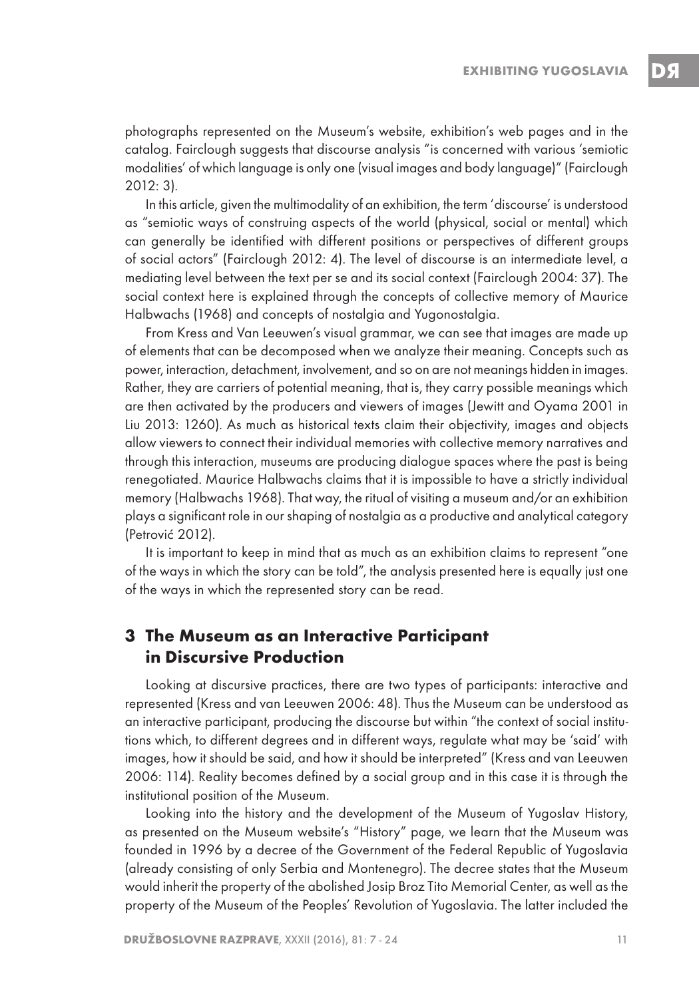photographs represented on the Museum's website, exhibition's web pages and in the catalog. Fairclough suggests that discourse analysis "is concerned with various 'semiotic modalities' of which language is only one (visual images and body language)" (Fairclough 2012: 3).

In this article, given the multimodality of an exhibition, the term 'discourse' is understood as "semiotic ways of construing aspects of the world (physical, social or mental) which can generally be identified with different positions or perspectives of different groups of social actors" (Fairclough 2012: 4). The level of discourse is an intermediate level, a mediating level between the text per se and its social context (Fairclough 2004: 37). The social context here is explained through the concepts of collective memory of Maurice Halbwachs (1968) and concepts of nostalgia and Yugonostalgia.

From Kress and Van Leeuwen's visual grammar, we can see that images are made up of elements that can be decomposed when we analyze their meaning. Concepts such as power, interaction, detachment, involvement, and so on are not meanings hidden in images. Rather, they are carriers of potential meaning, that is, they carry possible meanings which are then activated by the producers and viewers of images (Jewitt and Oyama 2001 in Liu 2013: 1260). As much as historical texts claim their objectivity, images and objects allow viewers to connect their individual memories with collective memory narratives and through this interaction, museums are producing dialogue spaces where the past is being renegotiated. Maurice Halbwachs claims that it is impossible to have a strictly individual memory (Halbwachs 1968). That way, the ritual of visiting a museum and/or an exhibition plays a significant role in our shaping of nostalgia as a productive and analytical category (Petrović 2012).

It is important to keep in mind that as much as an exhibition claims to represent "one of the ways in which the story can be told", the analysis presented here is equally just one of the ways in which the represented story can be read.

### **3 The Museum as an Interactive Participant in Discursive Production**

Looking at discursive practices, there are two types of participants: interactive and represented (Kress and van Leeuwen 2006: 48). Thus the Museum can be understood as an interactive participant, producing the discourse but within "the context of social institutions which, to different degrees and in different ways, regulate what may be 'said' with images, how it should be said, and how it should be interpreted" (Kress and van Leeuwen 2006: 114). Reality becomes defined by a social group and in this case it is through the institutional position of the Museum.

Looking into the history and the development of the Museum of Yugoslav History, as presented on the Museum website's "History" page, we learn that the Museum was founded in 1996 by a decree of the Government of the Federal Republic of Yugoslavia (already consisting of only Serbia and Montenegro). The decree states that the Museum would inherit the property of the abolished Josip Broz Tito Memorial Center, as well as the property of the Museum of the Peoples' Revolution of Yugoslavia. The latter included the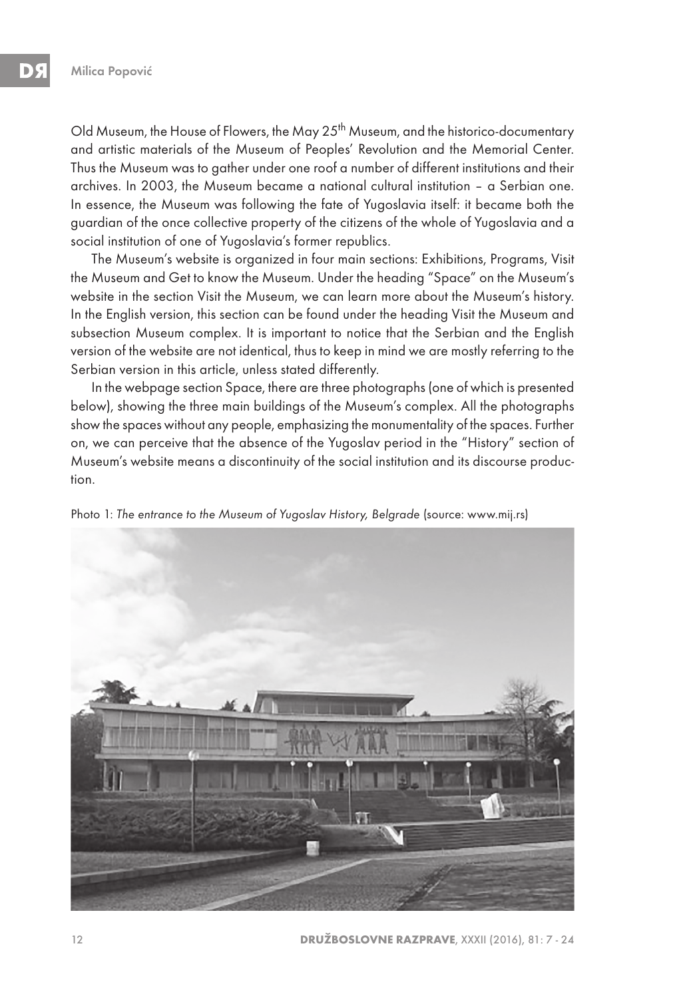Old Museum, the House of Flowers, the May 25<sup>th</sup> Museum, and the historico-documentary and artistic materials of the Museum of Peoples' Revolution and the Memorial Center. Thus the Museum was to gather under one roof a number of different institutions and their archives. In 2003, the Museum became a national cultural institution – a Serbian one. In essence, the Museum was following the fate of Yugoslavia itself: it became both the guardian of the once collective property of the citizens of the whole of Yugoslavia and a social institution of one of Yugoslavia's former republics.

The Museum's website is organized in four main sections: Exhibitions, Programs, Visit the Museum and Get to know the Museum. Under the heading "Space" on the Museum's website in the section Visit the Museum, we can learn more about the Museum's history. In the English version, this section can be found under the heading Visit the Museum and subsection Museum complex. It is important to notice that the Serbian and the English version of the website are not identical, thus to keep in mind we are mostly referring to the Serbian version in this article, unless stated differently.

In the webpage section Space, there are three photographs (one of which is presented below), showing the three main buildings of the Museum's complex. All the photographs show the spaces without any people, emphasizing the monumentality of the spaces. Further on, we can perceive that the absence of the Yugoslav period in the "History" section of Museum's website means a discontinuity of the social institution and its discourse production.



Photo 1: The entrance to the Museum of Yugoslav History, Belgrade (source: www.mij.rs)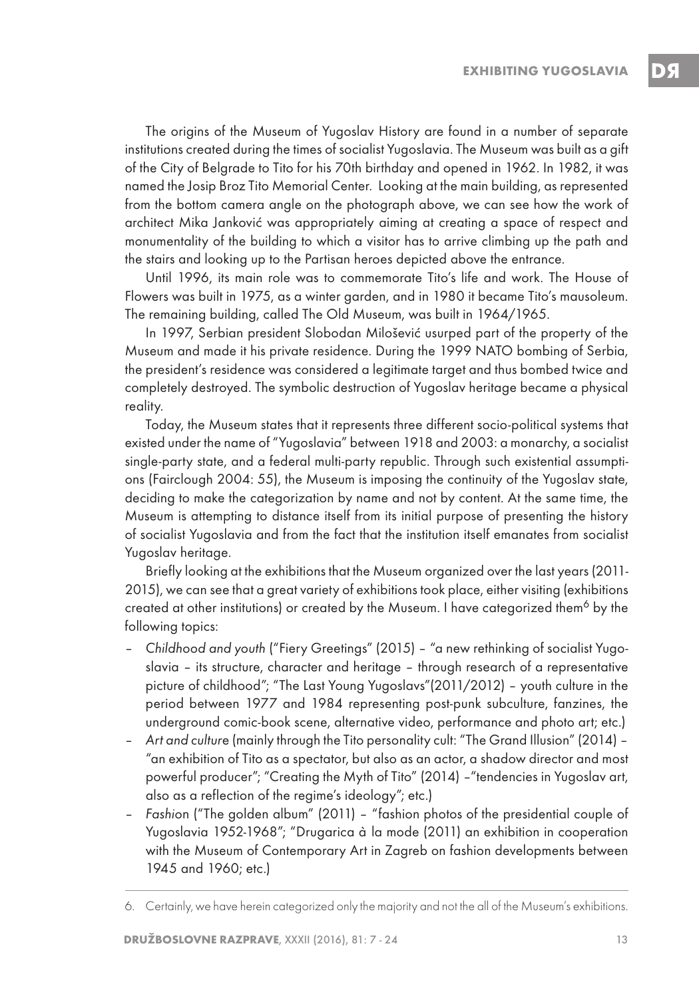The origins of the Museum of Yugoslav History are found in a number of separate institutions created during the times of socialist Yugoslavia. The Museum was built as a gift of the City of Belgrade to Tito for his 70th birthday and opened in 1962. In 1982, it was named the Josip Broz Tito Memorial Center. Looking at the main building, as represented from the bottom camera angle on the photograph above, we can see how the work of architect Mika Janković was appropriately aiming at creating a space of respect and monumentality of the building to which a visitor has to arrive climbing up the path and the stairs and looking up to the Partisan heroes depicted above the entrance.

Until 1996, its main role was to commemorate Tito's life and work. The House of Flowers was built in 1975, as a winter garden, and in 1980 it became Tito's mausoleum. The remaining building, called The Old Museum, was built in 1964/1965.

In 1997, Serbian president Slobodan Milošević usurped part of the property of the Museum and made it his private residence. During the 1999 NATO bombing of Serbia, the president's residence was considered a legitimate target and thus bombed twice and completely destroyed. The symbolic destruction of Yugoslav heritage became a physical reality.

Today, the Museum states that it represents three different socio-political systems that existed under the name of "Yugoslavia" between 1918 and 2003: a monarchy, a socialist single-party state, and a federal multi-party republic. Through such existential assumptions (Fairclough 2004: 55), the Museum is imposing the continuity of the Yugoslav state, deciding to make the categorization by name and not by content. At the same time, the Museum is attempting to distance itself from its initial purpose of presenting the history of socialist Yugoslavia and from the fact that the institution itself emanates from socialist Yugoslav heritage.

Briefly looking at the exhibitions that the Museum organized over the last years (2011- 2015), we can see that a great variety of exhibitions took place, either visiting (exhibitions created at other institutions) or created by the Museum. I have categorized them<sup>6</sup> by the following topics:

- Childhood and youth ("Fiery Greetings" (2015) "a new rethinking of socialist Yugoslavia – its structure, character and heritage – through research of a representative picture of childhood"; "The Last Young Yugoslavs"(2011/2012) – youth culture in the period between 1977 and 1984 representing post-punk subculture, fanzines, the underground comic-book scene, alternative video, performance and photo art; etc.)
- Art and culture (mainly through the Tito personality cult: "The Grand Illusion" (2014) "an exhibition of Tito as a spectator, but also as an actor, a shadow director and most powerful producer"; "Creating the Myth of Tito" (2014) –"tendencies in Yugoslav art, also as a reflection of the regime's ideology"; etc.)
- Fashion ("The golden album" (2011) "fashion photos of the presidential couple of Yugoslavia 1952-1968"; "Drugarica a` la mode (2011) an exhibition in cooperation with the Museum of Contemporary Art in Zagreb on fashion developments between 1945 and 1960; etc.)

<sup>6.</sup> Certainly, we have herein categorized only the majority and not the all of the Museum's exhibitions.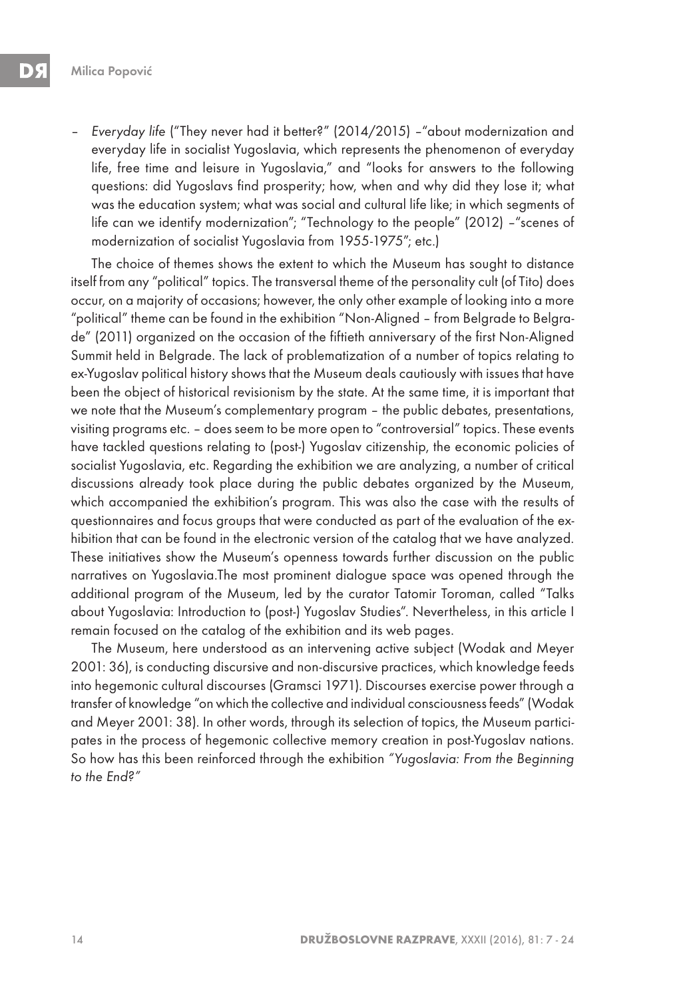– Everyday life ("They never had it better?" (2014/2015) –"about modernization and everyday life in socialist Yugoslavia, which represents the phenomenon of everyday life, free time and leisure in Yugoslavia," and "looks for answers to the following questions: did Yugoslavs find prosperity; how, when and why did they lose it; what was the education system; what was social and cultural life like; in which segments of life can we identify modernization"; "Technology to the people" (2012) –"scenes of modernization of socialist Yugoslavia from 1955-1975"; etc.)

The choice of themes shows the extent to which the Museum has sought to distance itself from any "political" topics. The transversal theme of the personality cult (of Tito) does occur, on a majority of occasions; however, the only other example of looking into a more "political" theme can be found in the exhibition "Non-Aligned – from Belgrade to Belgrade" (2011) organized on the occasion of the fiftieth anniversary of the first Non-Aligned Summit held in Belgrade. The lack of problematization of a number of topics relating to ex-Yugoslav political history shows that the Museum deals cautiously with issues that have been the object of historical revisionism by the state. At the same time, it is important that we note that the Museum's complementary program – the public debates, presentations, visiting programs etc. – does seem to be more open to "controversial" topics. These events have tackled questions relating to (post-) Yugoslav citizenship, the economic policies of socialist Yugoslavia, etc. Regarding the exhibition we are analyzing, a number of critical discussions already took place during the public debates organized by the Museum, which accompanied the exhibition's program. This was also the case with the results of questionnaires and focus groups that were conducted as part of the evaluation of the exhibition that can be found in the electronic version of the catalog that we have analyzed. These initiatives show the Museum's openness towards further discussion on the public narratives on Yugoslavia.The most prominent dialogue space was opened through the additional program of the Museum, led by the curator Tatomir Toroman, called "Talks about Yugoslavia: Introduction to (post-) Yugoslav Studies". Nevertheless, in this article I remain focused on the catalog of the exhibition and its web pages.

The Museum, here understood as an intervening active subject (Wodak and Meyer 2001: 36), is conducting discursive and non-discursive practices, which knowledge feeds into hegemonic cultural discourses (Gramsci 1971). Discourses exercise power through a transfer of knowledge "on which the collective and individual consciousness feeds" (Wodak and Meyer 2001: 38). In other words, through its selection of topics, the Museum participates in the process of hegemonic collective memory creation in post-Yugoslav nations. So how has this been reinforced through the exhibition "Yugoslavia: From the Beginning to the End?"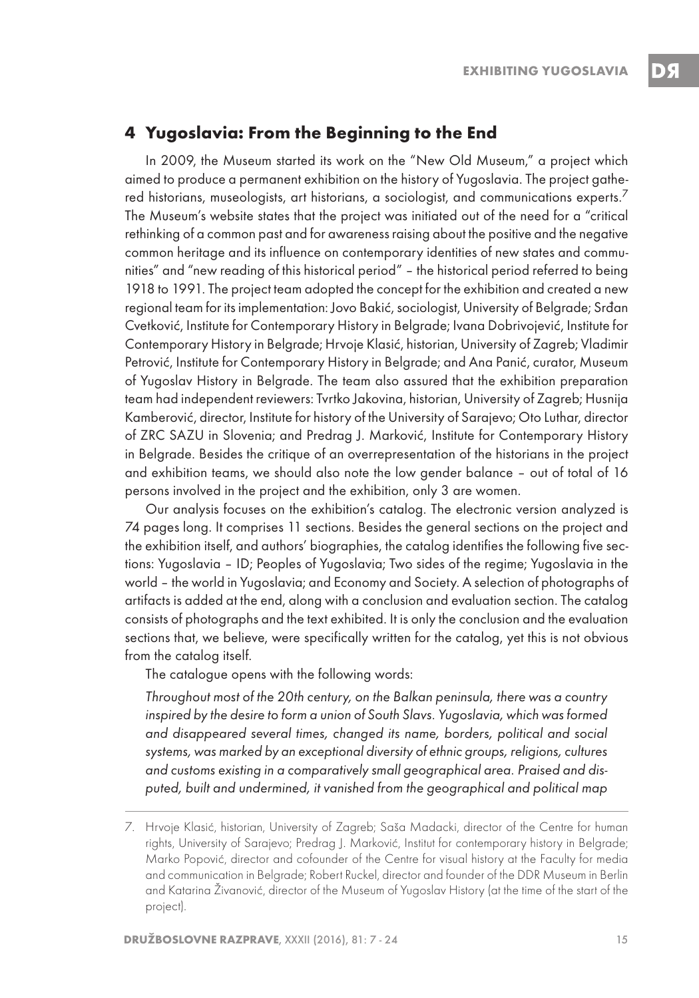## **4 Yugoslavia: From the Beginning to the End**

In 2009, the Museum started its work on the "New Old Museum," a project which aimed to produce a permanent exhibition on the history of Yugoslavia. The project gathered historians, museologists, art historians, a sociologist, and communications experts. $^7$ The Museum's website states that the project was initiated out of the need for a "critical rethinking of a common past and for awareness raising about the positive and the negative common heritage and its influence on contemporary identities of new states and communities" and "new reading of this historical period" – the historical period referred to being 1918 to 1991. The project team adopted the concept for the exhibition and created a new regional team for its implementation: Jovo Bakić, sociologist, University of Belgrade; Srđan Cvetković, Institute for Contemporary History in Belgrade; Ivana Dobrivojević, Institute for Contemporary History in Belgrade; Hrvoje Klasić, historian, University of Zagreb; Vladimir Petrović, Institute for Contemporary History in Belgrade; and Ana Panić, curator, Museum of Yugoslav History in Belgrade. The team also assured that the exhibition preparation team had independent reviewers: Tvrtko Jakovina, historian, University of Zagreb; Husnija Kamberović, director, Institute for history of the University of Sarajevo; Oto Luthar, director of ZRC SAZU in Slovenia; and Predrag J. Marković, Institute for Contemporary History in Belgrade. Besides the critique of an overrepresentation of the historians in the project and exhibition teams, we should also note the low gender balance – out of total of 16 persons involved in the project and the exhibition, only 3 are women.

Our analysis focuses on the exhibition's catalog. The electronic version analyzed is 74 pages long. It comprises 11 sections. Besides the general sections on the project and the exhibition itself, and authors' biographies, the catalog identifies the following five sections: Yugoslavia – ID; Peoples of Yugoslavia; Two sides of the regime; Yugoslavia in the world – the world in Yugoslavia; and Economy and Society. A selection of photographs of artifacts is added at the end, along with a conclusion and evaluation section. The catalog consists of photographs and the text exhibited. It is only the conclusion and the evaluation sections that, we believe, were specifically written for the catalog, yet this is not obvious from the catalog itself.

The catalogue opens with the following words:

Throughout most of the 20th century, on the Balkan peninsula, there was a country inspired by the desire to form a union of South Slavs. Yugoslavia, which was formed and disappeared several times, changed its name, borders, political and social systems, was marked by an exceptional diversity of ethnic groups, religions, cultures and customs existing in a comparatively small geographical area. Praised and disputed, built and undermined, it vanished from the geographical and political map

<sup>7.</sup> Hrvoje Klasić, historian, University of Zagreb; Saša Madacki, director of the Centre for human rights, University of Sarajevo; Predrag J. Marković, Institut for contemporary history in Belgrade; Marko Popović, director and cofounder of the Centre for visual history at the Faculty for media and communication in Belgrade; Robert Ruckel, director and founder of the DDR Museum in Berlin and Katarina Živanović, director of the Museum of Yugoslav History (at the time of the start of the project).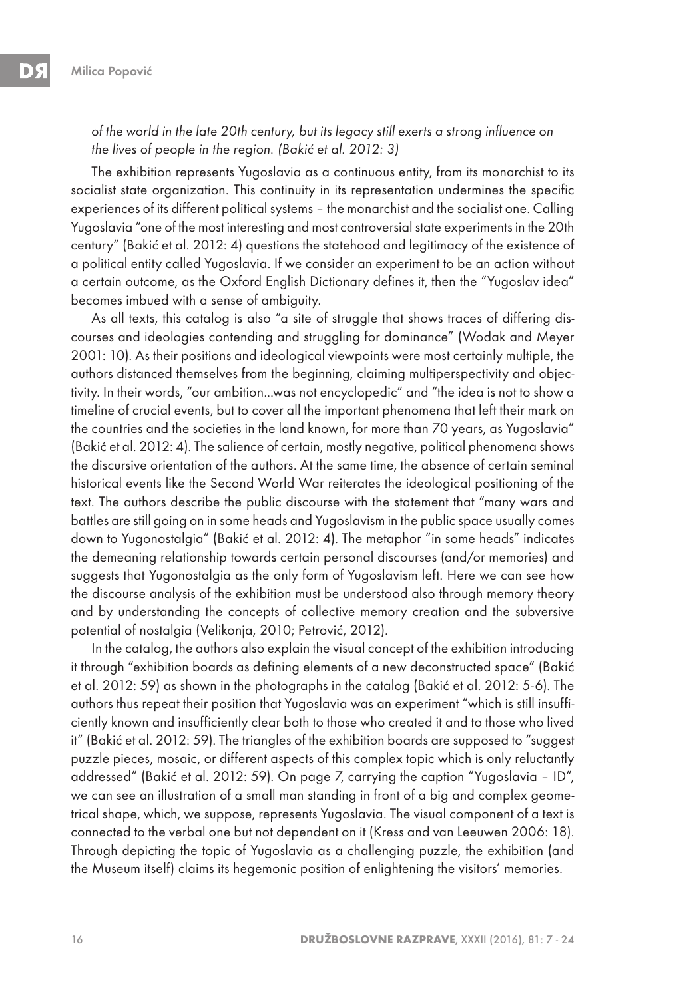of the world in the late 20th century, but its legacy still exerts a strong influence on the lives of people in the region. (Bakić et al. 2012: 3)

The exhibition represents Yugoslavia as a continuous entity, from its monarchist to its socialist state organization. This continuity in its representation undermines the specific experiences of its different political systems – the monarchist and the socialist one. Calling Yugoslavia "one of the most interesting and most controversial state experiments in the 20th century" (Bakić et al. 2012: 4) questions the statehood and legitimacy of the existence of a political entity called Yugoslavia. If we consider an experiment to be an action without a certain outcome, as the Oxford English Dictionary defines it, then the "Yugoslav idea" becomes imbued with a sense of ambiguity.

As all texts, this catalog is also "a site of struggle that shows traces of differing discourses and ideologies contending and struggling for dominance" (Wodak and Meyer 2001: 10). As their positions and ideological viewpoints were most certainly multiple, the authors distanced themselves from the beginning, claiming multiperspectivity and objectivity. In their words, "our ambition...was not encyclopedic" and "the idea is not to show a timeline of crucial events, but to cover all the important phenomena that left their mark on the countries and the societies in the land known, for more than 70 years, as Yugoslavia" (Bakić et al. 2012: 4). The salience of certain, mostly negative, political phenomena shows the discursive orientation of the authors. At the same time, the absence of certain seminal historical events like the Second World War reiterates the ideological positioning of the text. The authors describe the public discourse with the statement that "many wars and battles are still going on in some heads and Yugoslavism in the public space usually comes down to Yugonostalgia" (Bakić et al. 2012: 4). The metaphor "in some heads" indicates the demeaning relationship towards certain personal discourses (and/or memories) and suggests that Yugonostalgia as the only form of Yugoslavism left. Here we can see how the discourse analysis of the exhibition must be understood also through memory theory and by understanding the concepts of collective memory creation and the subversive potential of nostalgia (Velikonja, 2010; Petrović, 2012).

In the catalog, the authors also explain the visual concept of the exhibition introducing it through "exhibition boards as defining elements of a new deconstructed space" (Bakić et al. 2012: 59) as shown in the photographs in the catalog (Bakić et al. 2012: 5-6). The authors thus repeat their position that Yugoslavia was an experiment "which is still insufficiently known and insufficiently clear both to those who created it and to those who lived it" (Bakić et al. 2012: 59). The triangles of the exhibition boards are supposed to "suggest puzzle pieces, mosaic, or different aspects of this complex topic which is only reluctantly addressed" (Bakić et al. 2012: 59). On page 7, carrying the caption "Yugoslavia – ID", we can see an illustration of a small man standing in front of a big and complex geometrical shape, which, we suppose, represents Yugoslavia. The visual component of a text is connected to the verbal one but not dependent on it (Kress and van Leeuwen 2006: 18). Through depicting the topic of Yugoslavia as a challenging puzzle, the exhibition (and the Museum itself) claims its hegemonic position of enlightening the visitors' memories.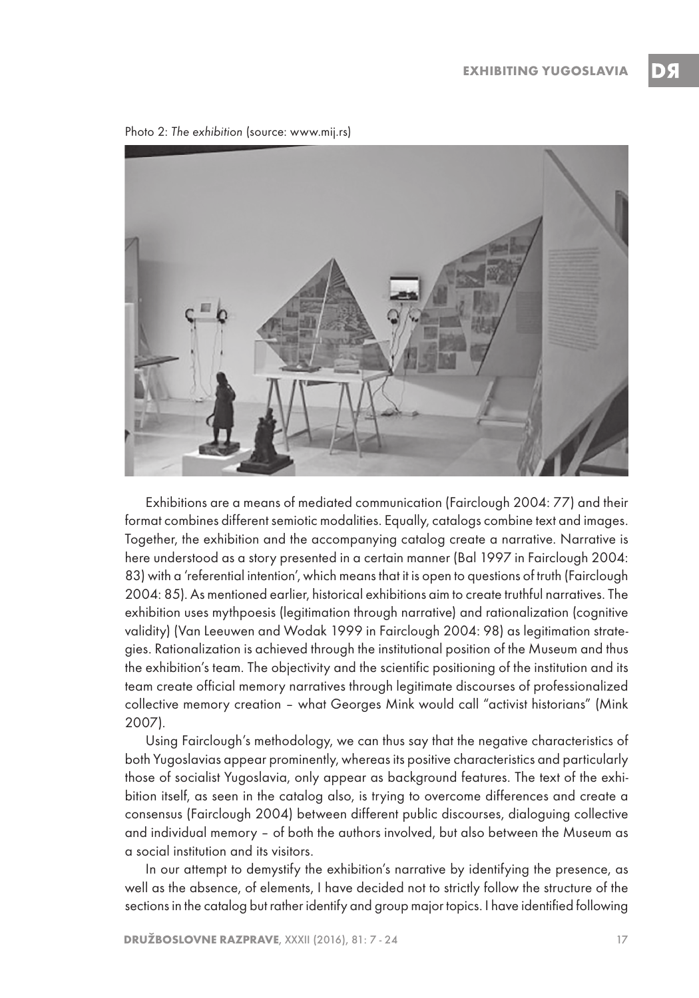Photo 2: The exhibition (source: www.mij.rs)



Exhibitions are a means of mediated communication (Fairclough 2004: 77) and their format combines different semiotic modalities. Equally, catalogs combine text and images. Together, the exhibition and the accompanying catalog create a narrative. Narrative is here understood as a story presented in a certain manner (Bal 1997 in Fairclough 2004: 83) with a 'referential intention', which means that it is open to questions of truth (Fairclough 2004: 85). As mentioned earlier, historical exhibitions aim to create truthful narratives. The exhibition uses mythpoesis (legitimation through narrative) and rationalization (cognitive validity) (Van Leeuwen and Wodak 1999 in Fairclough 2004: 98) as legitimation strategies. Rationalization is achieved through the institutional position of the Museum and thus the exhibition's team. The objectivity and the scientific positioning of the institution and its team create official memory narratives through legitimate discourses of professionalized collective memory creation – what Georges Mink would call "activist historians" (Mink 2007).

Using Fairclough's methodology, we can thus say that the negative characteristics of both Yugoslavias appear prominently, whereas its positive characteristics and particularly those of socialist Yugoslavia, only appear as background features. The text of the exhibition itself, as seen in the catalog also, is trying to overcome differences and create a consensus (Fairclough 2004) between different public discourses, dialoguing collective and individual memory – of both the authors involved, but also between the Museum as a social institution and its visitors.

In our attempt to demystify the exhibition's narrative by identifying the presence, as well as the absence, of elements, I have decided not to strictly follow the structure of the sections in the catalog but rather identify and group major topics. I have identified following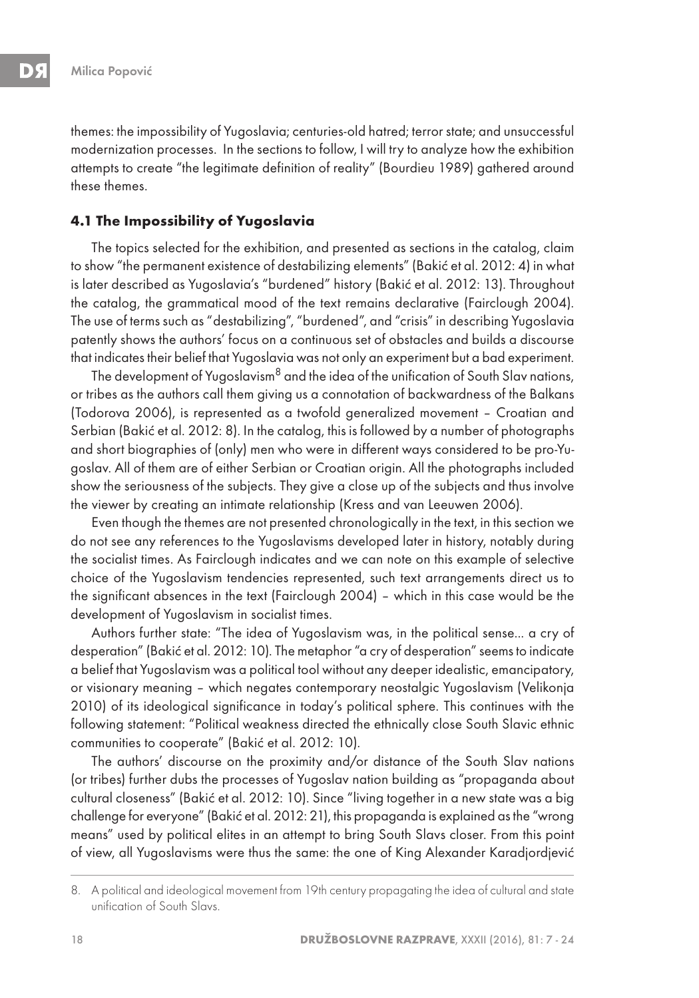themes: the impossibility of Yugoslavia; centuries-old hatred; terror state; and unsuccessful modernization processes. In the sections to follow, I will try to analyze how the exhibition attempts to create "the legitimate definition of reality" (Bourdieu 1989) gathered around these themes.

#### **4.1 The Impossibility of Yugoslavia**

The topics selected for the exhibition, and presented as sections in the catalog, claim to show "the permanent existence of destabilizing elements" (Bakić et al. 2012: 4) in what is later described as Yugoslavia's "burdened" history (Bakić et al. 2012: 13). Throughout the catalog, the grammatical mood of the text remains declarative (Fairclough 2004). The use of terms such as "destabilizing", "burdened", and "crisis" in describing Yugoslavia patently shows the authors' focus on a continuous set of obstacles and builds a discourse that indicates their belief that Yugoslavia was not only an experiment but a bad experiment.

The development of Yugoslavism $8$  and the idea of the unification of South Slav nations, or tribes as the authors call them giving us a connotation of backwardness of the Balkans (Todorova 2006), is represented as a twofold generalized movement – Croatian and Serbian (Bakić et al. 2012: 8). In the catalog, this is followed by a number of photographs and short biographies of (only) men who were in different ways considered to be pro-Yugoslav. All of them are of either Serbian or Croatian origin. All the photographs included show the seriousness of the subjects. They give a close up of the subjects and thus involve the viewer by creating an intimate relationship (Kress and van Leeuwen 2006).

Even though the themes are not presented chronologically in the text, in this section we do not see any references to the Yugoslavisms developed later in history, notably during the socialist times. As Fairclough indicates and we can note on this example of selective choice of the Yugoslavism tendencies represented, such text arrangements direct us to the significant absences in the text (Fairclough 2004) – which in this case would be the development of Yugoslavism in socialist times.

Authors further state: "The idea of Yugoslavism was, in the political sense... a cry of desperation" (Bakić et al. 2012: 10). The metaphor "a cry of desperation" seems to indicate a belief that Yugoslavism was a political tool without any deeper idealistic, emancipatory, or visionary meaning – which negates contemporary neostalgic Yugoslavism (Velikonja 2010) of its ideological significance in today's political sphere. This continues with the following statement: "Political weakness directed the ethnically close South Slavic ethnic communities to cooperate" (Bakić et al. 2012: 10).

The authors' discourse on the proximity and/or distance of the South Slav nations (or tribes) further dubs the processes of Yugoslav nation building as "propaganda about cultural closeness" (Bakić et al. 2012: 10). Since "living together in a new state was a big challenge for everyone" (Bakić et al. 2012: 21), this propaganda is explained as the "wrong means" used by political elites in an attempt to bring South Slavs closer. From this point of view, all Yugoslavisms were thus the same: the one of King Alexander Karadjordjević

<sup>8.</sup> A political and ideological movement from 19th century propagating the idea of cultural and state unification of South Slavs.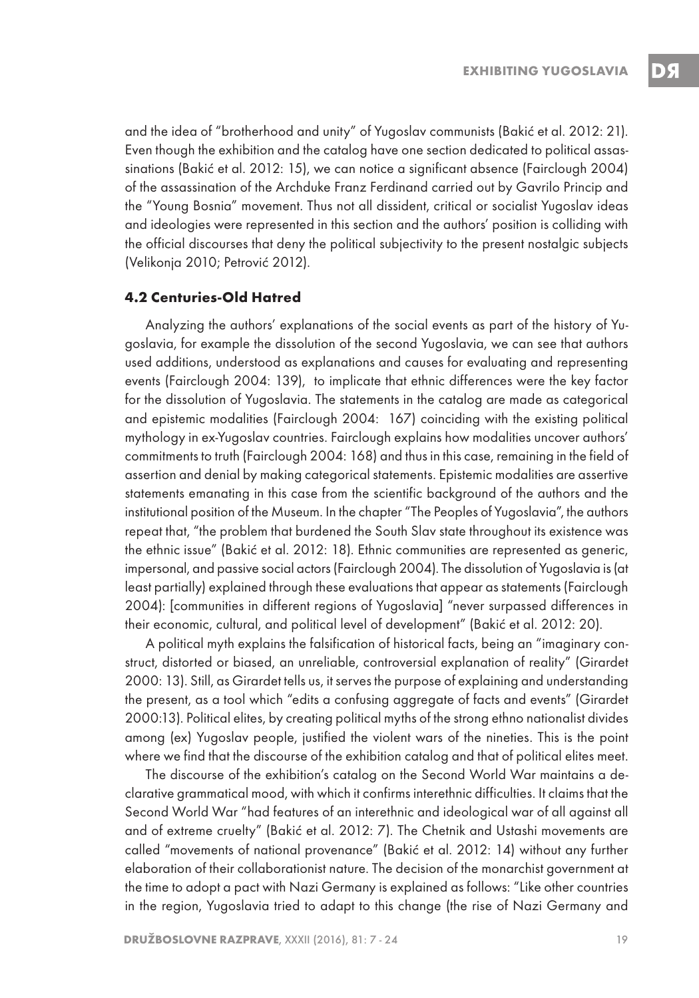and the idea of "brotherhood and unity" of Yugoslav communists (Bakić et al. 2012: 21). Even though the exhibition and the catalog have one section dedicated to political assassinations (Bakić et al. 2012: 15), we can notice a significant absence (Fairclough 2004) of the assassination of the Archduke Franz Ferdinand carried out by Gavrilo Princip and the "Young Bosnia" movement. Thus not all dissident, critical or socialist Yugoslav ideas and ideologies were represented in this section and the authors' position is colliding with the official discourses that deny the political subjectivity to the present nostalgic subjects (Velikonja 2010; Petrović 2012).

#### **4.2 Centuries-Old Hatred**

Analyzing the authors' explanations of the social events as part of the history of Yugoslavia, for example the dissolution of the second Yugoslavia, we can see that authors used additions, understood as explanations and causes for evaluating and representing events (Fairclough 2004: 139), to implicate that ethnic differences were the key factor for the dissolution of Yugoslavia. The statements in the catalog are made as categorical and epistemic modalities (Fairclough 2004: 167) coinciding with the existing political mythology in ex-Yugoslav countries. Fairclough explains how modalities uncover authors' commitments to truth (Fairclough 2004: 168) and thus in this case, remaining in the field of assertion and denial by making categorical statements. Epistemic modalities are assertive statements emanating in this case from the scientific background of the authors and the institutional position of the Museum. In the chapter "The Peoples of Yugoslavia", the authors repeat that, "the problem that burdened the South Slav state throughout its existence was the ethnic issue" (Bakić et al. 2012: 18). Ethnic communities are represented as generic, impersonal, and passive social actors (Fairclough 2004). The dissolution of Yugoslavia is (at least partially) explained through these evaluations that appear as statements (Fairclough 2004): [communities in different regions of Yugoslavia] "never surpassed differences in their economic, cultural, and political level of development" (Bakić et al. 2012: 20).

A political myth explains the falsification of historical facts, being an "imaginary construct, distorted or biased, an unreliable, controversial explanation of reality" (Girardet 2000: 13). Still, as Girardet tells us, it serves the purpose of explaining and understanding the present, as a tool which "edits a confusing aggregate of facts and events" (Girardet 2000:13). Political elites, by creating political myths of the strong ethno nationalist divides among (ex) Yugoslav people, justified the violent wars of the nineties. This is the point where we find that the discourse of the exhibition catalog and that of political elites meet.

The discourse of the exhibition's catalog on the Second World War maintains a declarative grammatical mood, with which it confirms interethnic difficulties. It claims that the Second World War "had features of an interethnic and ideological war of all against all and of extreme cruelty" (Bakić et al. 2012: 7). The Chetnik and Ustashi movements are called "movements of national provenance" (Bakić et al. 2012: 14) without any further elaboration of their collaborationist nature. The decision of the monarchist government at the time to adopt a pact with Nazi Germany is explained as follows: "Like other countries in the region, Yugoslavia tried to adapt to this change (the rise of Nazi Germany and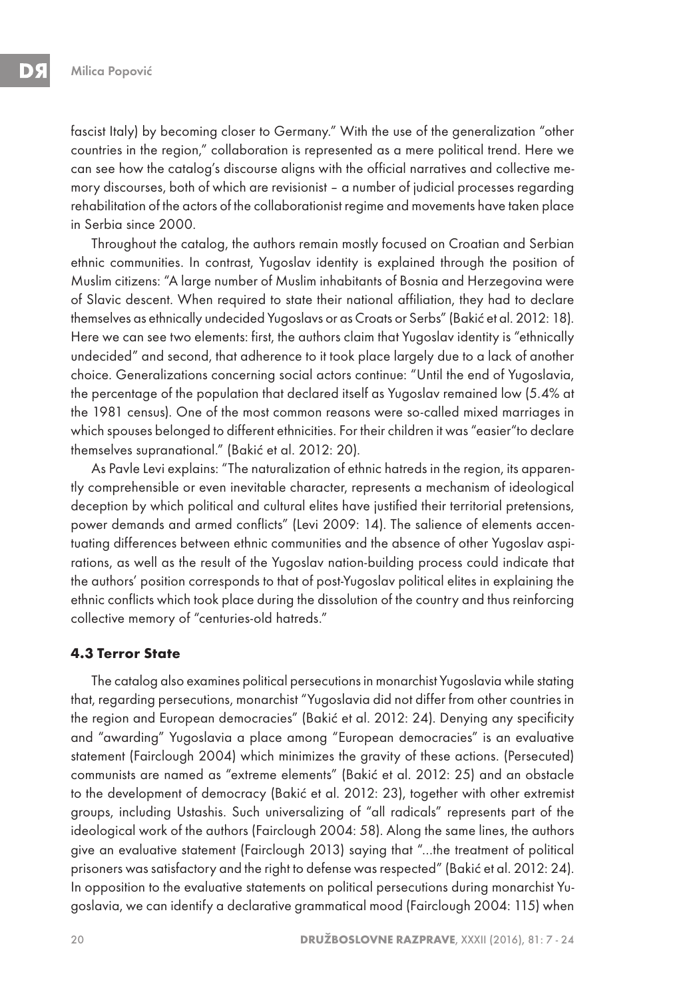fascist Italy) by becoming closer to Germany." With the use of the generalization "other countries in the region," collaboration is represented as a mere political trend. Here we can see how the catalog's discourse aligns with the official narratives and collective memory discourses, both of which are revisionist – a number of judicial processes regarding rehabilitation of the actors of the collaborationist regime and movements have taken place in Serbia since 2000.

Throughout the catalog, the authors remain mostly focused on Croatian and Serbian ethnic communities. In contrast, Yugoslav identity is explained through the position of Muslim citizens: "A large number of Muslim inhabitants of Bosnia and Herzegovina were of Slavic descent. When required to state their national affiliation, they had to declare themselves as ethnically undecided Yugoslavs or as Croats or Serbs" (Bakić et al. 2012: 18). Here we can see two elements: first, the authors claim that Yugoslav identity is "ethnically undecided" and second, that adherence to it took place largely due to a lack of another choice. Generalizations concerning social actors continue: "Until the end of Yugoslavia, the percentage of the population that declared itself as Yugoslav remained low (5.4% at the 1981 census). One of the most common reasons were so-called mixed marriages in which spouses belonged to different ethnicities. For their children it was "easier"to declare themselves supranational." (Bakić et al. 2012: 20).

As Pavle Levi explains: "The naturalization of ethnic hatreds in the region, its apparently comprehensible or even inevitable character, represents a mechanism of ideological deception by which political and cultural elites have justified their territorial pretensions, power demands and armed conflicts" (Levi 2009: 14). The salience of elements accentuating differences between ethnic communities and the absence of other Yugoslav aspirations, as well as the result of the Yugoslav nation-building process could indicate that the authors' position corresponds to that of post-Yugoslav political elites in explaining the ethnic conflicts which took place during the dissolution of the country and thus reinforcing collective memory of "centuries-old hatreds."

#### **4.3 Terror State**

The catalog also examines political persecutions in monarchist Yugoslavia while stating that, regarding persecutions, monarchist "Yugoslavia did not differ from other countries in the region and European democracies" (Bakić et al. 2012: 24). Denying any specificity and "awarding" Yugoslavia a place among "European democracies" is an evaluative statement (Fairclough 2004) which minimizes the gravity of these actions. (Persecuted) communists are named as "extreme elements" (Bakić et al. 2012: 25) and an obstacle to the development of democracy (Bakić et al. 2012: 23), together with other extremist groups, including Ustashis. Such universalizing of "all radicals" represents part of the ideological work of the authors (Fairclough 2004: 58). Along the same lines, the authors give an evaluative statement (Fairclough 2013) saying that "…the treatment of political prisoners was satisfactory and the right to defense was respected" (Bakić et al. 2012: 24). In opposition to the evaluative statements on political persecutions during monarchist Yugoslavia, we can identify a declarative grammatical mood (Fairclough 2004: 115) when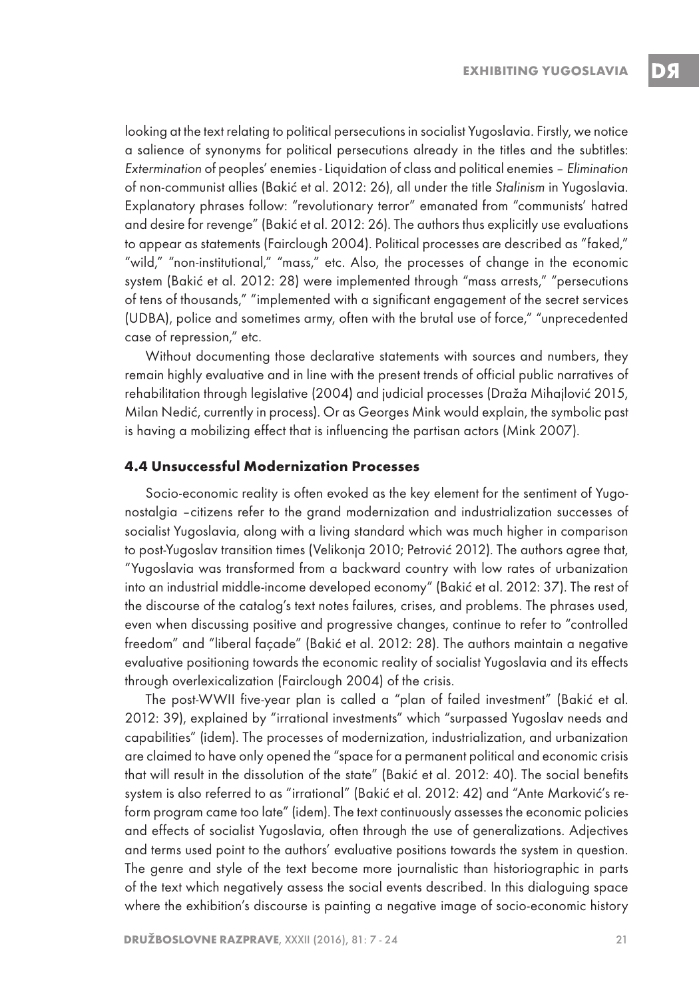looking at the text relating to political persecutions in socialist Yugoslavia. Firstly, we notice a salience of synonyms for political persecutions already in the titles and the subtitles: Extermination of peoples' enemies - Liquidation of class and political enemies – Elimination of non-communist allies (Bakić et al. 2012: 26), all under the title Stalinism in Yugoslavia. Explanatory phrases follow: "revolutionary terror" emanated from "communists' hatred and desire for revenge" (Bakić et al. 2012: 26). The authors thus explicitly use evaluations to appear as statements (Fairclough 2004). Political processes are described as "faked," "wild," "non-institutional," "mass," etc. Also, the processes of change in the economic system (Bakić et al. 2012: 28) were implemented through "mass arrests," "persecutions of tens of thousands," "implemented with a significant engagement of the secret services (UDBA), police and sometimes army, often with the brutal use of force," "unprecedented case of repression," etc.

Without documenting those declarative statements with sources and numbers, they remain highly evaluative and in line with the present trends of official public narratives of rehabilitation through legislative (2004) and judicial processes (Draža Mihajlović 2015, Milan Nedić, currently in process). Or as Georges Mink would explain, the symbolic past is having a mobilizing effect that is influencing the partisan actors (Mink 2007).

#### **4.4 Unsuccessful Modernization Processes**

Socio-economic reality is often evoked as the key element for the sentiment of Yugonostalgia –citizens refer to the grand modernization and industrialization successes of socialist Yugoslavia, along with a living standard which was much higher in comparison to post-Yugoslav transition times (Velikonja 2010; Petrović 2012). The authors agree that, "Yugoslavia was transformed from a backward country with low rates of urbanization into an industrial middle-income developed economy" (Bakić et al. 2012: 37). The rest of the discourse of the catalog's text notes failures, crises, and problems. The phrases used, even when discussing positive and progressive changes, continue to refer to "controlled freedom" and "liberal façade" (Bakić et al. 2012: 28). The authors maintain a negative evaluative positioning towards the economic reality of socialist Yugoslavia and its effects through overlexicalization (Fairclough 2004) of the crisis.

The post-WWII five-year plan is called a "plan of failed investment" (Bakić et al. 2012: 39), explained by "irrational investments" which "surpassed Yugoslav needs and capabilities" (idem). The processes of modernization, industrialization, and urbanization are claimed to have only opened the "space for a permanent political and economic crisis that will result in the dissolution of the state" (Bakić et al. 2012: 40). The social benefits system is also referred to as "irrational" (Bakić et al. 2012: 42) and "Ante Marković's reform program came too late" (idem). The text continuously assesses the economic policies and effects of socialist Yugoslavia, often through the use of generalizations. Adjectives and terms used point to the authors' evaluative positions towards the system in question. The genre and style of the text become more journalistic than historiographic in parts of the text which negatively assess the social events described. In this dialoguing space where the exhibition's discourse is painting a negative image of socio-economic history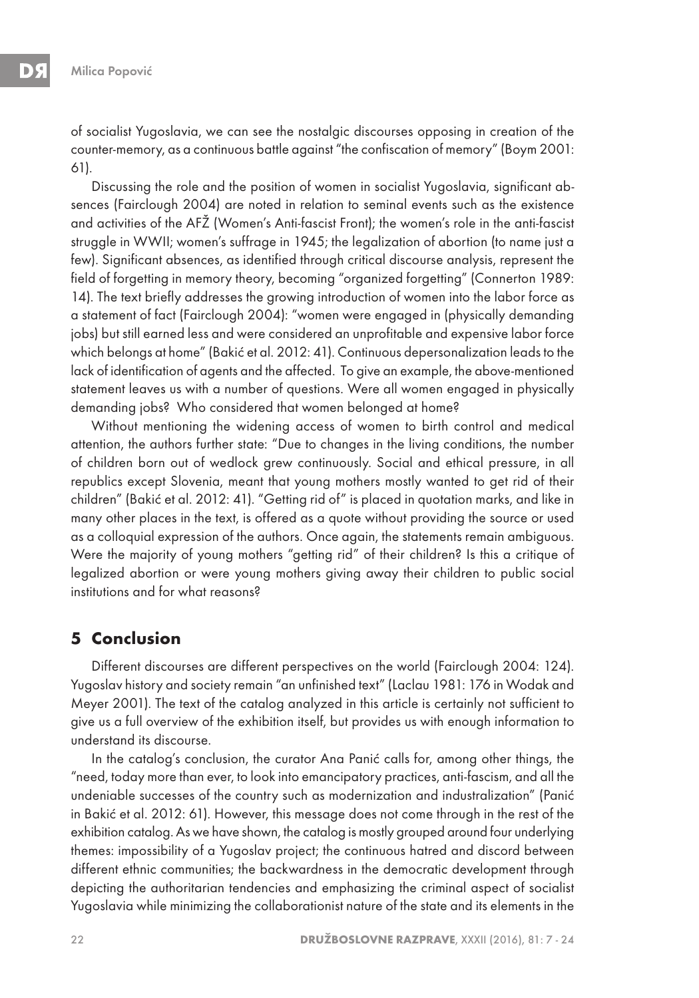of socialist Yugoslavia, we can see the nostalgic discourses opposing in creation of the counter-memory, as a continuous battle against "the confiscation of memory" (Boym 2001: 61).

Discussing the role and the position of women in socialist Yugoslavia, significant absences (Fairclough 2004) are noted in relation to seminal events such as the existence and activities of the AFŽ (Women's Anti-fascist Front); the women's role in the anti-fascist struggle in WWII; women's suffrage in 1945; the legalization of abortion (to name just a few). Significant absences, as identified through critical discourse analysis, represent the field of forgetting in memory theory, becoming "organized forgetting" (Connerton 1989: 14). The text briefly addresses the growing introduction of women into the labor force as a statement of fact (Fairclough 2004): "women were engaged in (physically demanding jobs) but still earned less and were considered an unprofitable and expensive labor force which belongs at home" (Bakić et al. 2012: 41). Continuous depersonalization leads to the lack of identification of agents and the affected. To give an example, the above-mentioned statement leaves us with a number of questions. Were all women engaged in physically demanding jobs? Who considered that women belonged at home?

Without mentioning the widening access of women to birth control and medical attention, the authors further state: "Due to changes in the living conditions, the number of children born out of wedlock grew continuously. Social and ethical pressure, in all republics except Slovenia, meant that young mothers mostly wanted to get rid of their children" (Bakić et al. 2012: 41). "Getting rid of" is placed in quotation marks, and like in many other places in the text, is offered as a quote without providing the source or used as a colloquial expression of the authors. Once again, the statements remain ambiguous. Were the majority of young mothers "getting rid" of their children? Is this a critique of legalized abortion or were young mothers giving away their children to public social institutions and for what reasons?

#### **5 Conclusion**

Different discourses are different perspectives on the world (Fairclough 2004: 124). Yugoslav history and society remain "an unfinished text" (Laclau 1981: 176 in Wodak and Meyer 2001). The text of the catalog analyzed in this article is certainly not sufficient to give us a full overview of the exhibition itself, but provides us with enough information to understand its discourse.

In the catalog's conclusion, the curator Ana Panić calls for, among other things, the "need, today more than ever, to look into emancipatory practices, anti-fascism, and all the undeniable successes of the country such as modernization and industralization" (Panić in Bakić et al. 2012: 61). However, this message does not come through in the rest of the exhibition catalog. As we have shown, the catalog is mostly grouped around four underlying themes: impossibility of a Yugoslav project; the continuous hatred and discord between different ethnic communities; the backwardness in the democratic development through depicting the authoritarian tendencies and emphasizing the criminal aspect of socialist Yugoslavia while minimizing the collaborationist nature of the state and its elements in the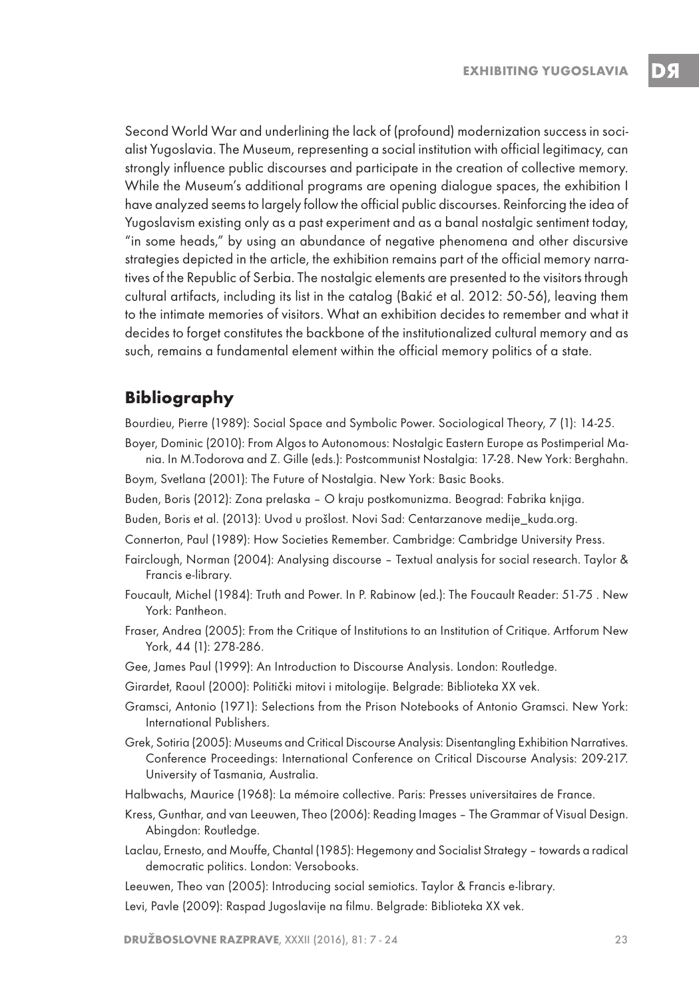Second World War and underlining the lack of (profound) modernization success in socialist Yugoslavia. The Museum, representing a social institution with official legitimacy, can strongly influence public discourses and participate in the creation of collective memory. While the Museum's additional programs are opening dialogue spaces, the exhibition I have analyzed seems to largely follow the official public discourses. Reinforcing the idea of Yugoslavism existing only as a past experiment and as a banal nostalgic sentiment today, "in some heads," by using an abundance of negative phenomena and other discursive strategies depicted in the article, the exhibition remains part of the official memory narratives of the Republic of Serbia. The nostalgic elements are presented to the visitors through cultural artifacts, including its list in the catalog (Bakić et al. 2012: 50-56), leaving them to the intimate memories of visitors. What an exhibition decides to remember and what it decides to forget constitutes the backbone of the institutionalized cultural memory and as such, remains a fundamental element within the official memory politics of a state.

## **Bibliography**

Bourdieu, Pierre (1989): Social Space and Symbolic Power. Sociological Theory, 7 (1): 14-25.

Boyer, Dominic (2010): From Algos to Autonomous: Nostalgic Eastern Europe as Postimperial Mania. In M.Todorova and Z. Gille (eds.): Postcommunist Nostalgia: 17-28. New York: Berghahn.

Boym, Svetlana (2001): The Future of Nostalgia. New York: Basic Books.

- Buden, Boris (2012): Zona prelaska O kraju postkomunizma. Beograd: Fabrika knjiga.
- Buden, Boris et al. (2013): Uvod u prošlost. Novi Sad: Centarzanove medije\_kuda.org.
- Connerton, Paul (1989): How Societies Remember. Cambridge: Cambridge University Press.
- Fairclough, Norman (2004): Analysing discourse Textual analysis for social research. Taylor & Francis e-library.
- Foucault, Michel (1984): Truth and Power. In P. Rabinow (ed.): The Foucault Reader: 51-75 . New York: Pantheon.
- Fraser, Andrea (2005): From the Critique of Institutions to an Institution of Critique. Artforum New York, 44 (1): 278-286.
- Gee, James Paul (1999): An Introduction to Discourse Analysis. London: Routledge.
- Girardet, Raoul (2000): Politički mitovi i mitologije. Belgrade: Biblioteka XX vek.
- Gramsci, Antonio (1971): Selections from the Prison Notebooks of Antonio Gramsci. New York: International Publishers.
- Grek, Sotiria (2005): Museums and Critical Discourse Analysis: Disentangling Exhibition Narratives. Conference Proceedings: International Conference on Critical Discourse Analysis: 209-217. University of Tasmania, Australia.
- Halbwachs, Maurice (1968): La mémoire collective. Paris: Presses universitaires de France.
- Kress, Gunthar, and van Leeuwen, Theo (2006): Reading Images The Grammar of Visual Design. Abingdon: Routledge.
- Laclau, Ernesto, and Mouffe, Chantal (1985): Hegemony and Socialist Strategy towards a radical democratic politics. London: Versobooks.

Leeuwen, Theo van (2005): Introducing social semiotics. Taylor & Francis e-library.

Levi, Pavle (2009): Raspad Jugoslavije na filmu. Belgrade: Biblioteka XX vek.